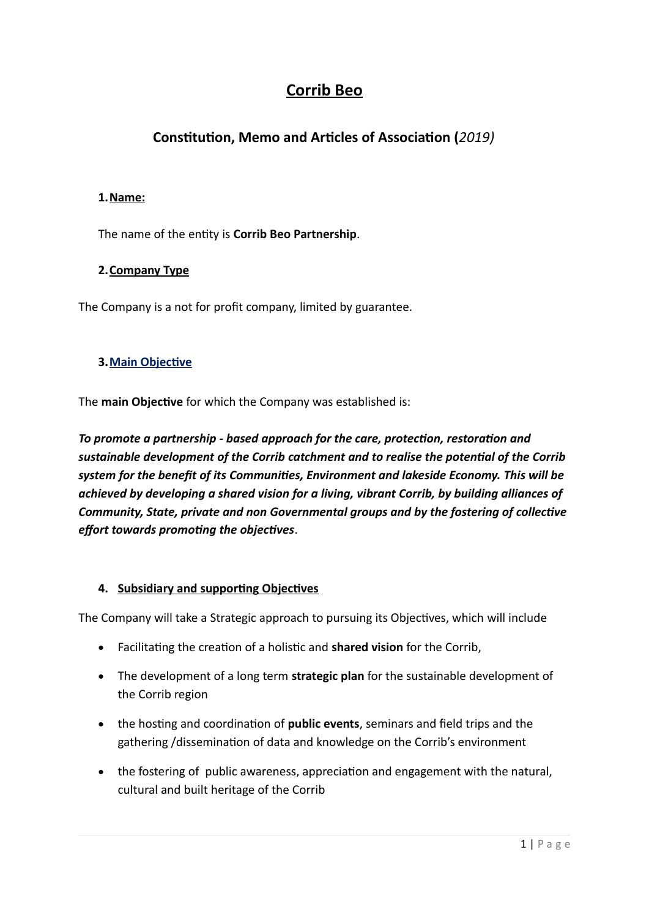# **Corrib Beo**

## **Constitution, Memo and Articles of Association (2019)**

## **1. Name:**

The name of the entity is **Corrib Beo Partnership**.

## **2. Company Type**

The Company is a not for profit company, limited by guarantee.

### **3. Main Objective**

The **main Objective** for which the Company was established is:

To promote a partnership - based approach for the care, protection, restoration and *sustainable development of the Corrib catchment and to realise the potental of the Corrib system for the beneft of its Communites, Environment and lakeside Economy. This will be achieved by developing a shared vision for a living, vibrant Corrib, by building alliances of Community, State, private and non Governmental groups and by the fostering of collectve effort towards promoting the objectives.* 

### **4. Subsidiary and supporting Objectives**

The Company will take a Strategic approach to pursuing its Objectives, which will include

- Facilitating the creation of a holistic and **shared vision** for the Corrib,
- The development of a long term **strategic plan** for the sustainable development of the Corrib region
- the hosting and coordination of **public events**, seminars and field trips and the gathering /dissemination of data and knowledge on the Corrib's environment
- the fostering of public awareness, appreciation and engagement with the natural, cultural and built heritage of the Corrib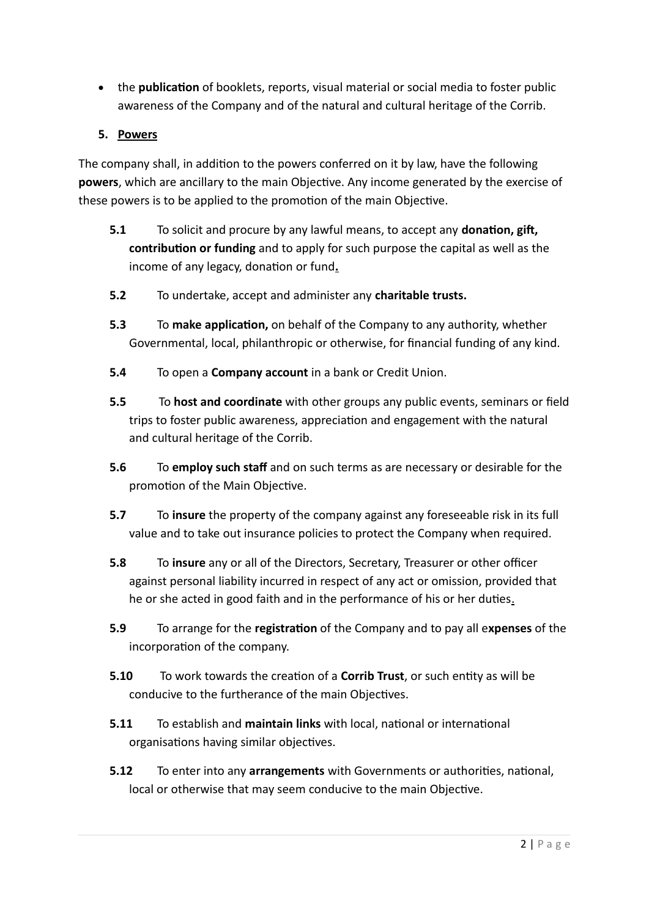- the **publication** of booklets, reports, visual material or social media to foster public awareness of the Company and of the natural and cultural heritage of the Corrib.
- **5. Powers**

The company shall, in addition to the powers conferred on it by law, have the following **powers**, which are ancillary to the main Objective. Any income generated by the exercise of these powers is to be applied to the promotion of the main Objective.

- **5.1** To solicit and procure by any lawful means, to accept any **donation, gift, contribution or funding** and to apply for such purpose the capital as well as the income of any legacy, donation or fund.
- **5.2** To undertake, accept and administer any **charitable trusts.**
- **5.3** To make application, on behalf of the Company to any authority, whether Governmental, local, philanthropic or otherwise, for financial funding of any kind.
- **5.4** To open a **Company account** in a bank or Credit Union.
- **5.5** To **host and coordinate** with other groups any public events, seminars or field trips to foster public awareness, appreciaton and engagement with the natural and cultural heritage of the Corrib.
- **5.6** To **employ such staff** and on such terms as are necessary or desirable for the promotion of the Main Objective.
- **5.7** To **insure** the property of the company against any foreseeable risk in its full value and to take out insurance policies to protect the Company when required.
- **5.8** To insure any or all of the Directors, Secretary, Treasurer or other officer against personal liability incurred in respect of any act or omission, provided that he or she acted in good faith and in the performance of his or her duties.
- **5.9** To arrange for the **registration** of the Company and to pay all expenses of the incorporation of the company.
- **5.10** To work towards the creation of a **Corrib Trust**, or such entity as will be conducive to the furtherance of the main Objectives.
- **5.11** To establish and **maintain links** with local, national or international organisations having similar objectives.
- **5.12** To enter into any **arrangements** with Governments or authorities, national, local or otherwise that may seem conducive to the main Objective.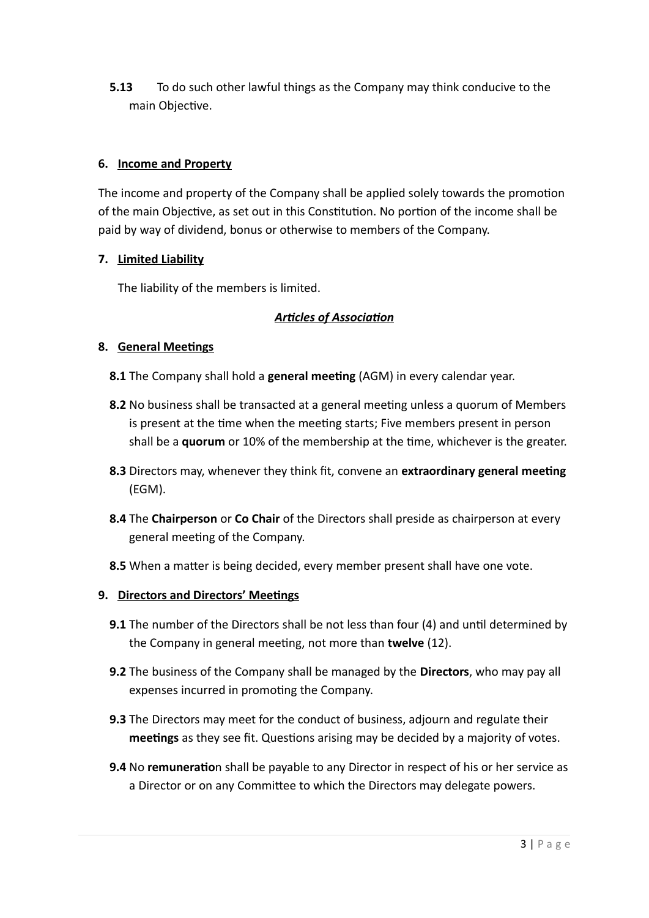**5.13** To do such other lawful things as the Company may think conducive to the main Objective.

#### **6.** Income and Property

The income and property of the Company shall be applied solely towards the promotion of the main Objective, as set out in this Constitution. No portion of the income shall be paid by way of dividend, bonus or otherwise to members of the Company.

#### **7.** Limited Liability

The liability of the members is limited.

### *Artcles of Associaton*

#### **8. General Meetings**

- **8.1** The Company shall hold a **general meeting** (AGM) in every calendar year.
- **8.2** No business shall be transacted at a general meeting unless a quorum of Members is present at the time when the meeting starts; Five members present in person shall be a **quorum** or 10% of the membership at the time, whichever is the greater.
- **8.3** Directors may, whenever they think fit, convene an **extraordinary general meeting**  $(EGM).$
- 8.4 The **Chairperson** or **Co Chair** of the Directors shall preside as chairperson at every general meeting of the Company.
- **8.5** When a matter is being decided, every member present shall have one vote.

#### **9. Directors and Directors' Meetings**

- **9.1** The number of the Directors shall be not less than four (4) and until determined by the Company in general meeting, not more than **twelve** (12).
- **9.2** The business of the Company shall be managed by the **Directors**, who may pay all expenses incurred in promoting the Company.
- **9.3** The Directors may meet for the conduct of business, adjourn and regulate their **meetings** as they see fit. Questions arising may be decided by a majority of votes.
- **9.4** No **remuneratio**n shall be payable to any Director in respect of his or her service as a Director or on any Committee to which the Directors may delegate powers.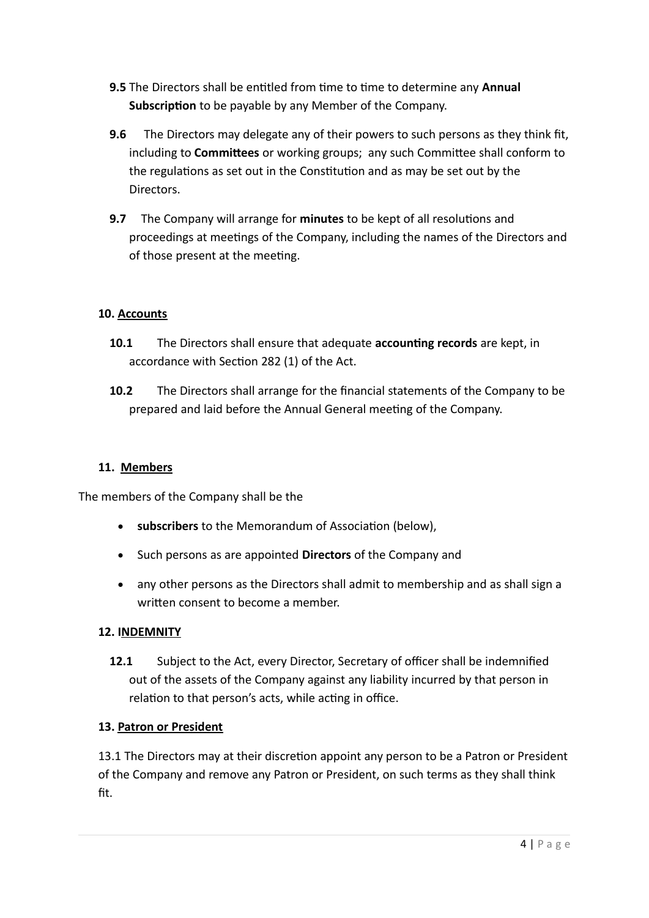- **9.5** The Directors shall be entitled from time to time to determine any **Annual Subscription** to be payable by any Member of the Company.
- **9.6** The Directors may delegate any of their powers to such persons as they think fit, including to **Committees** or working groups; any such Committee shall conform to the regulations as set out in the Constitution and as may be set out by the Directors.
- **9.7** The Company will arrange for **minutes** to be kept of all resolutions and proceedings at meetings of the Company, including the names of the Directors and of those present at the meeting.

## **10. Accounts**

- **10.1** The Directors shall ensure that adequate **accounting records** are kept, in accordance with Section 282 (1) of the Act.
- **10.2** The Directors shall arrange for the financial statements of the Company to be prepared and laid before the Annual General meeting of the Company.

### **11. Members**

The members of the Company shall be the

- subscribers to the Memorandum of Association (below),
- Such persons as are appointed **Directors** of the Company and
- any other persons as the Directors shall admit to membership and as shall sign a writen consent to become a member.

### **12. INDEMNITY**

**12.1** Subject to the Act, every Director, Secretary of officer shall be indemnified out of the assets of the Company against any liability incurred by that person in relation to that person's acts, while acting in office.

#### **13. Patron or President**

13.1 The Directors may at their discretion appoint any person to be a Patron or President of the Company and remove any Patron or President, on such terms as they shall think fit.